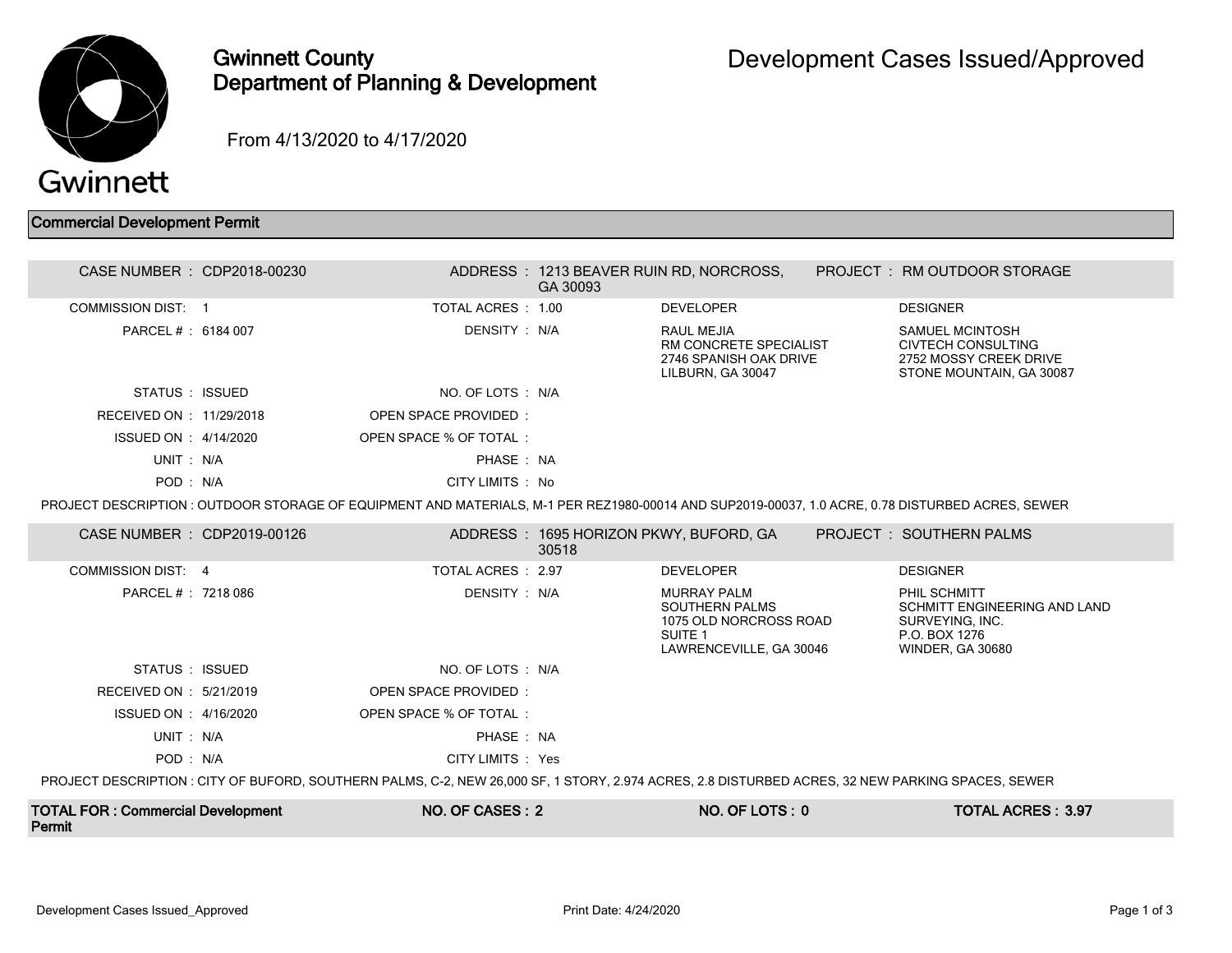

## Gwinnett County Department of Planning & Development

From 4/13/2020 to 4/17/2020

## Commercial Development Permit

| <b>TOTAL FOR: Commercial Development</b><br>Permit                                                                                                |  | NO. OF CASES: 2                                                                                                                                  |          | NO. OF LOTS: 0                                                                                                                      |  | <b>TOTAL ACRES: 3.97</b>                                                                                    |  |
|---------------------------------------------------------------------------------------------------------------------------------------------------|--|--------------------------------------------------------------------------------------------------------------------------------------------------|----------|-------------------------------------------------------------------------------------------------------------------------------------|--|-------------------------------------------------------------------------------------------------------------|--|
| PROJECT DESCRIPTION : CITY OF BUFORD, SOUTHERN PALMS, C-2, NEW 26,000 SF, 1 STORY, 2.974 ACRES, 2.8 DISTURBED ACRES, 32 NEW PARKING SPACES, SEWER |  |                                                                                                                                                  |          |                                                                                                                                     |  |                                                                                                             |  |
| POD: N/A                                                                                                                                          |  | CITY LIMITS : Yes                                                                                                                                |          |                                                                                                                                     |  |                                                                                                             |  |
| UNIT: N/A                                                                                                                                         |  | PHASE: NA                                                                                                                                        |          |                                                                                                                                     |  |                                                                                                             |  |
| ISSUED ON : 4/16/2020                                                                                                                             |  | OPEN SPACE % OF TOTAL:                                                                                                                           |          |                                                                                                                                     |  |                                                                                                             |  |
| RECEIVED ON : 5/21/2019                                                                                                                           |  | <b>OPEN SPACE PROVIDED:</b>                                                                                                                      |          |                                                                                                                                     |  |                                                                                                             |  |
| STATUS : ISSUED                                                                                                                                   |  | NO. OF LOTS : N/A                                                                                                                                |          |                                                                                                                                     |  |                                                                                                             |  |
| <b>COMMISSION DIST: 4</b><br>PARCEL # : 7218 086                                                                                                  |  | DENSITY: N/A                                                                                                                                     |          | <b>DEVELOPER</b><br>MURRAY PALM<br><b>SOUTHERN PALMS</b><br>1075 OLD NORCROSS ROAD<br>SUITE <sub>1</sub><br>LAWRENCEVILLE, GA 30046 |  | PHIL SCHMITT<br>SCHMITT ENGINEERING AND LAND<br>SURVEYING, INC.<br>P.O. BOX 1276<br><b>WINDER, GA 30680</b> |  |
| CASE NUMBER : CDP2019-00126                                                                                                                       |  | TOTAL ACRES : 2.97                                                                                                                               | 30518    | ADDRESS : 1695 HORIZON PKWY, BUFORD, GA                                                                                             |  | <b>PROJECT : SOUTHERN PALMS</b><br><b>DESIGNER</b>                                                          |  |
|                                                                                                                                                   |  | PROJECT DESCRIPTION : OUTDOOR STORAGE OF EQUIPMENT AND MATERIALS, M-1 PER REZ1980-00014 AND SUP2019-00037, 1.0 ACRE, 0.78 DISTURBED ACRES, SEWER |          |                                                                                                                                     |  |                                                                                                             |  |
| POD: N/A                                                                                                                                          |  | CITY LIMITS : No                                                                                                                                 |          |                                                                                                                                     |  |                                                                                                             |  |
| UNIT: N/A                                                                                                                                         |  | PHASE: NA                                                                                                                                        |          |                                                                                                                                     |  |                                                                                                             |  |
| ISSUED ON : 4/14/2020                                                                                                                             |  | OPEN SPACE % OF TOTAL:                                                                                                                           |          |                                                                                                                                     |  |                                                                                                             |  |
| RECEIVED ON : 11/29/2018                                                                                                                          |  | OPEN SPACE PROVIDED:                                                                                                                             |          |                                                                                                                                     |  |                                                                                                             |  |
| STATUS : ISSUED                                                                                                                                   |  | NO. OF LOTS : N/A                                                                                                                                |          | LILBURN, GA 30047                                                                                                                   |  | STONE MOUNTAIN, GA 30087                                                                                    |  |
| PARCEL # : 6184 007                                                                                                                               |  | DENSITY: N/A                                                                                                                                     |          | <b>RAUL MEJIA</b><br>RM CONCRETE SPECIALIST<br>2746 SPANISH OAK DRIVE                                                               |  | <b>SAMUEL MCINTOSH</b><br><b>CIVTECH CONSULTING</b><br>2752 MOSSY CREEK DRIVE                               |  |
| <b>COMMISSION DIST: 1</b>                                                                                                                         |  | TOTAL ACRES: 1.00                                                                                                                                |          | <b>DEVELOPER</b>                                                                                                                    |  | <b>DESIGNER</b>                                                                                             |  |
| CASE NUMBER : CDP2018-00230                                                                                                                       |  |                                                                                                                                                  | GA 30093 | ADDRESS : 1213 BEAVER RUIN RD, NORCROSS,                                                                                            |  | PROJECT: RM OUTDOOR STORAGE                                                                                 |  |
|                                                                                                                                                   |  |                                                                                                                                                  |          |                                                                                                                                     |  |                                                                                                             |  |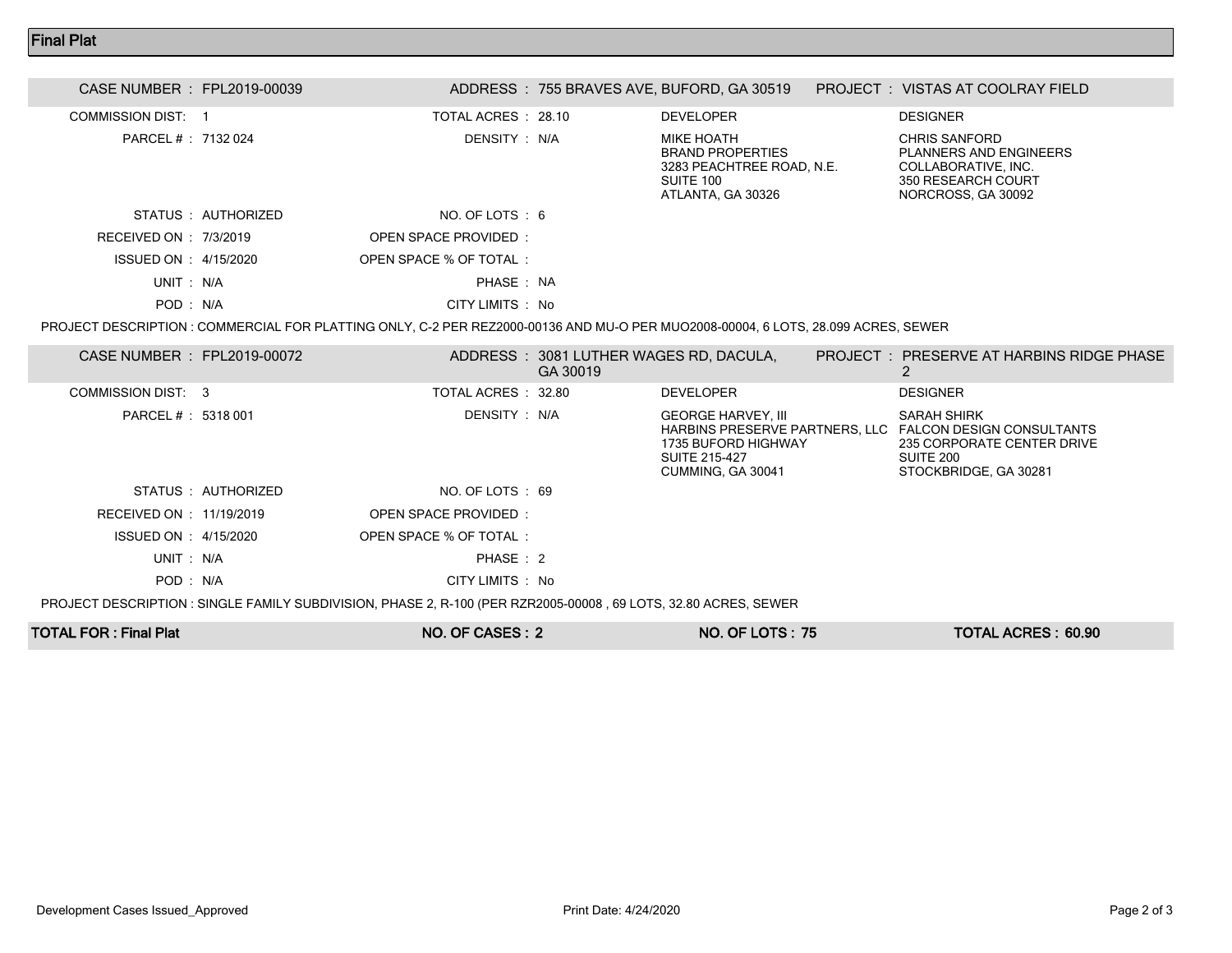## Final Plat

| CASE NUMBER : FPL2019-00039 |                     |                                                                                                                                   |          | ADDRESS : 755 BRAVES AVE, BUFORD, GA 30519                                                           | <b>PROJECT : VISTAS AT COOLRAY FIELD</b>                                                                                                           |  |
|-----------------------------|---------------------|-----------------------------------------------------------------------------------------------------------------------------------|----------|------------------------------------------------------------------------------------------------------|----------------------------------------------------------------------------------------------------------------------------------------------------|--|
| <b>COMMISSION DIST: 1</b>   |                     | TOTAL ACRES : 28.10                                                                                                               |          | <b>DEVELOPER</b>                                                                                     | <b>DESIGNER</b>                                                                                                                                    |  |
| PARCEL #: 7132 024          |                     | DENSITY: N/A                                                                                                                      |          | MIKE HOATH<br><b>BRAND PROPERTIES</b><br>3283 PEACHTREE ROAD, N.E.<br>SUITE 100<br>ATLANTA, GA 30326 | <b>CHRIS SANFORD</b><br><b>PLANNERS AND ENGINEERS</b><br>COLLABORATIVE, INC.<br>350 RESEARCH COURT<br>NORCROSS, GA 30092                           |  |
|                             | STATUS : AUTHORIZED | NO. OF LOTS : 6                                                                                                                   |          |                                                                                                      |                                                                                                                                                    |  |
| RECEIVED ON : 7/3/2019      |                     | <b>OPEN SPACE PROVIDED:</b>                                                                                                       |          |                                                                                                      |                                                                                                                                                    |  |
| ISSUED ON : 4/15/2020       |                     | OPEN SPACE % OF TOTAL:                                                                                                            |          |                                                                                                      |                                                                                                                                                    |  |
| UNIT: N/A                   |                     | PHASE: NA                                                                                                                         |          |                                                                                                      |                                                                                                                                                    |  |
| POD: N/A                    |                     | CITY LIMITS : No                                                                                                                  |          |                                                                                                      |                                                                                                                                                    |  |
|                             |                     | PROJECT DESCRIPTION : COMMERCIAL FOR PLATTING ONLY, C-2 PER REZ2000-00136 AND MU-O PER MUO2008-00004, 6 LOTS, 28.099 ACRES, SEWER |          |                                                                                                      |                                                                                                                                                    |  |
| CASE NUMBER : FPL2019-00072 |                     |                                                                                                                                   | GA 30019 | ADDRESS: 3081 LUTHER WAGES RD, DACULA,                                                               | PROJECT: PRESERVE AT HARBINS RIDGE PHASE<br>2                                                                                                      |  |
| COMMISSION DIST: 3          |                     | TOTAL ACRES : 32.80                                                                                                               |          | <b>DEVELOPER</b>                                                                                     | <b>DESIGNER</b>                                                                                                                                    |  |
| PARCEL # : 5318 001         |                     | DENSITY : N/A                                                                                                                     |          | <b>GEORGE HARVEY, III</b><br>1735 BUFORD HIGHWAY<br><b>SUITE 215-427</b><br>CUMMING, GA 30041        | <b>SARAH SHIRK</b><br>HARBINS PRESERVE PARTNERS. LLC FALCON DESIGN CONSULTANTS<br>235 CORPORATE CENTER DRIVE<br>SUITE 200<br>STOCKBRIDGE, GA 30281 |  |
|                             | STATUS : AUTHORIZED | NO. OF LOTS: 69                                                                                                                   |          |                                                                                                      |                                                                                                                                                    |  |
| RECEIVED ON : 11/19/2019    |                     | OPEN SPACE PROVIDED:                                                                                                              |          |                                                                                                      |                                                                                                                                                    |  |
| ISSUED ON : 4/15/2020       |                     | OPEN SPACE % OF TOTAL:                                                                                                            |          |                                                                                                      |                                                                                                                                                    |  |
| UNIT: N/A                   |                     | PHASE: 2                                                                                                                          |          |                                                                                                      |                                                                                                                                                    |  |
|                             |                     |                                                                                                                                   |          |                                                                                                      |                                                                                                                                                    |  |

POD : N/A CITY LIMITS : No

PROJECT DESCRIPTION : SINGLE FAMILY SUBDIVISION, PHASE 2, R-100 (PER RZR2005-00008 , 69 LOTS, 32.80 ACRES, SEWER

| <b>TOTAL FOR: Final Plat</b> | NO. OF CASES: 2 | <b>NO. OF LOTS: 75</b> | <b>TOTAL ACRES: 60.90</b> |
|------------------------------|-----------------|------------------------|---------------------------|
|                              |                 |                        |                           |